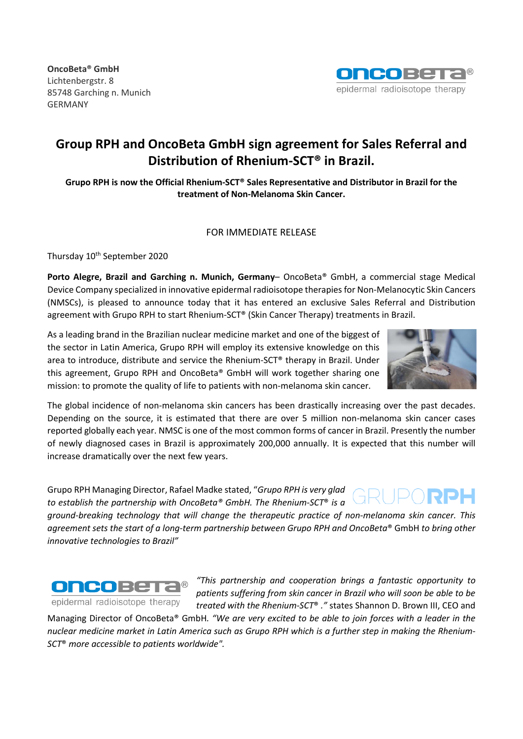**OncoBeta® GmbH** Lichtenbergstr. 8 85748 Garching n. Munich GERMANY



# **Group RPH and OncoBeta GmbH sign agreement for Sales Referral and Distribution of Rhenium-SCT® in Brazil.**

**Grupo RPH is now the Official Rhenium-SCT® Sales Representative and Distributor in Brazil for the treatment of Non-Melanoma Skin Cancer.**

## FOR IMMEDIATE RELEASE

Thursday 10<sup>th</sup> September 2020

**Porto Alegre, Brazil and Garching n. Munich, Germany**– OncoBeta® GmbH, a commercial stage Medical Device Company specialized in innovative epidermal radioisotope therapies for Non-Melanocytic Skin Cancers (NMSCs), is pleased to announce today that it has entered an exclusive Sales Referral and Distribution agreement with Grupo RPH to start Rhenium-SCT® (Skin Cancer Therapy) treatments in Brazil.

As a leading brand in the Brazilian nuclear medicine market and one of the biggest of the sector in Latin America, Grupo RPH will employ its extensive knowledge on this area to introduce, distribute and service the Rhenium-SCT® therapy in Brazil. Under this agreement, Grupo RPH and OncoBeta® GmbH will work together sharing one mission: to promote the quality of life to patients with non-melanoma skin cancer.



The global incidence of non-melanoma skin cancers has been drastically increasing over the past decades. Depending on the source, it is estimated that there are over 5 million non-melanoma skin cancer cases reported globally each year. NMSC is one of the most common forms of cancer in Brazil. Presently the number of newly diagnosed cases in Brazil is approximately 200,000 annually. It is expected that this number will increase dramatically over the next few years.

Grupo RPH Managing Director, Rafael Madke stated, "*Grupo RPH is very glad to establish the partnership with OncoBeta® GmbH. The Rhenium-SCT*® *is a ground-breaking technology that will change the therapeutic practice of non-melanoma skin cancer. This agreement sets the start of a long-term partnership between Grupo RPH and OncoBeta*® GmbH *to bring other innovative technologies to Brazil"*



*"This partnership and cooperation brings a fantastic opportunity to patients suffering from skin cancer in Brazil who will soon be able to be treated with the Rhenium-SCT*® *."* states Shannon D. Brown III, CEO and

Managing Director of OncoBeta® GmbH*. "We are very excited to be able to join forces with a leader in the nuclear medicine market in Latin America such as Grupo RPH which is a further step in making the Rhenium-SCT*® *more accessible to patients worldwide".*